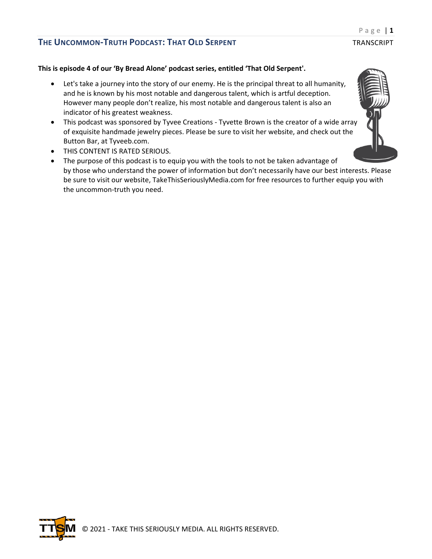## **This is episode 4 of our 'By Bread Alone' podcast series, entitled 'That Old Serpent'.**

- Let's take a journey into the story of our enemy. He is the principal threat to all humanity, and he is known by his most notable and dangerous talent, which is artful deception. However many people don't realize, his most notable and dangerous talent is also an indicator of his greatest weakness.
- This podcast was sponsored by Tyvee Creations Tyvette Brown is the creator of a wide array of exquisite handmade jewelry pieces. Please be sure to visit her website, and check out the Button Bar, at Tyveeb.com.
- THIS CONTENT IS RATED SERIOUS.
- The purpose of this podcast is to equip you with the tools to not be taken advantage of by those who understand the power of information but don't necessarily have our best interests. Please be sure to visit our website, TakeThisSeriouslyMedia.com for free resources to further equip you with the uncommon-truth you need.



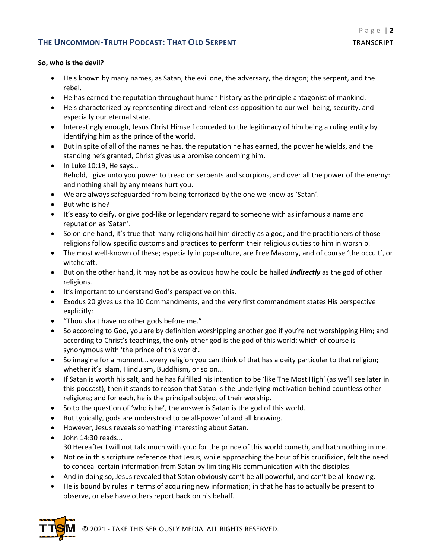### **So, who is the devil?**

- He's known by many names, as Satan, the evil one, the adversary, the dragon; the serpent, and the rebel.
- He has earned the reputation throughout human history as the principle antagonist of mankind.
- He's characterized by representing direct and relentless opposition to our well-being, security, and especially our eternal state.
- Interestingly enough, Jesus Christ Himself conceded to the legitimacy of him being a ruling entity by identifying him as the prince of the world.
- But in spite of all of the names he has, the reputation he has earned, the power he wields, and the standing he's granted, Christ gives us a promise concerning him.
- In Luke 10:19, He says... Behold, I give unto you power to tread on serpents and scorpions, and over all the power of the enemy: and nothing shall by any means hurt you.
- We are always safeguarded from being terrorized by the one we know as 'Satan'.
- But who is he?
- It's easy to deify, or give god-like or legendary regard to someone with as infamous a name and reputation as 'Satan'.
- So on one hand, it's true that many religions hail him directly as a god; and the practitioners of those religions follow specific customs and practices to perform their religious duties to him in worship.
- The most well-known of these; especially in pop-culture, are Free Masonry, and of course 'the occult', or witchcraft.
- But on the other hand, it may not be as obvious how he could be hailed *indirectly* as the god of other religions.
- It's important to understand God's perspective on this.
- Exodus 20 gives us the 10 Commandments, and the very first commandment states His perspective explicitly:
- "Thou shalt have no other gods before me."
- So according to God, you are by definition worshipping another god if you're not worshipping Him; and according to Christ's teachings, the only other god is the god of this world; which of course is synonymous with 'the prince of this world'.
- So imagine for a moment… every religion you can think of that has a deity particular to that religion; whether it's Islam, Hinduism, Buddhism, or so on…
- If Satan is worth his salt, and he has fulfilled his intention to be 'like The Most High' (as we'll see later in this podcast), then it stands to reason that Satan is the underlying motivation behind countless other religions; and for each, he is the principal subject of their worship.
- So to the question of 'who is he', the answer is Satan is the god of this world.
- But typically, gods are understood to be all-powerful and all knowing.
- However, Jesus reveals something interesting about Satan.
- John 14:30 reads... 30 Hereafter I will not talk much with you: for the prince of this world cometh, and hath nothing in me.
- Notice in this scripture reference that Jesus, while approaching the hour of his crucifixion, felt the need to conceal certain information from Satan by limiting His communication with the disciples.
- And in doing so, Jesus revealed that Satan obviously can't be all powerful, and can't be all knowing.
- He is bound by rules in terms of acquiring new information; in that he has to actually be present to observe, or else have others report back on his behalf.



© 2021 - TAKE THIS SERIOUSLY MEDIA. ALL RIGHTS RESERVED.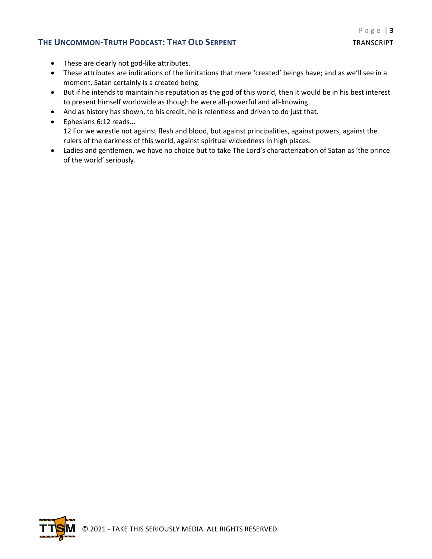- These are clearly not god-like attributes.
- These attributes are indications of the limitations that mere 'created' beings have; and as we'll see in a moment, Satan certainly is a created being.
- But if he intends to maintain his reputation as the god of this world, then it would be in his best interest to present himself worldwide as though he were all-powerful and all-knowing.
- And as history has shown, to his credit, he is relentless and driven to do just that.
- Ephesians 6:12 reads... 12 For we wrestle not against flesh and blood, but against principalities, against powers, against the rulers of the darkness of this world, against spiritual wickedness in high places.
- Ladies and gentlemen, we have no choice but to take The Lord's characterization of Satan as 'the prince of the world' seriously.

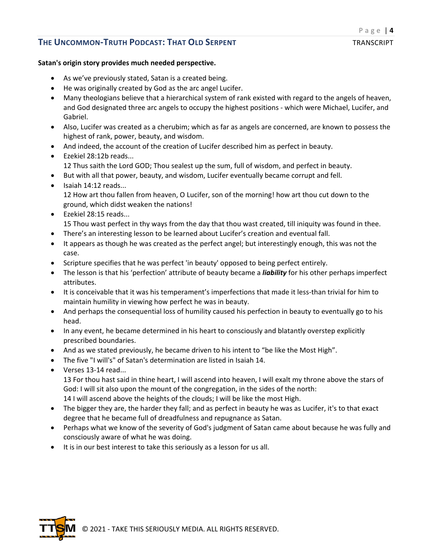### **Satan's origin story provides much needed perspective.**

- As we've previously stated, Satan is a created being.
- He was originally created by God as the arc angel Lucifer.
- Many theologians believe that a hierarchical system of rank existed with regard to the angels of heaven, and God designated three arc angels to occupy the highest positions - which were Michael, Lucifer, and Gabriel.
- Also, Lucifer was created as a cherubim; which as far as angels are concerned, are known to possess the highest of rank, power, beauty, and wisdom.
- And indeed, the account of the creation of Lucifer described him as perfect in beauty.
- Ezekiel 28:12b reads...
	- 12 Thus saith the Lord GOD; Thou sealest up the sum, full of wisdom, and perfect in beauty.
- But with all that power, beauty, and wisdom, Lucifer eventually became corrupt and fell.
- Isaiah 14:12 reads... 12 How art thou fallen from heaven, O Lucifer, son of the morning! how art thou cut down to the ground, which didst weaken the nations!
- Ezekiel 28:15 reads... 15 Thou wast perfect in thy ways from the day that thou wast created, till iniquity was found in thee.
- There's an interesting lesson to be learned about Lucifer's creation and eventual fall.
- It appears as though he was created as the perfect angel; but interestingly enough, this was not the case.
- Scripture specifies that he was perfect 'in beauty' opposed to being perfect entirely.
- The lesson is that his 'perfection' attribute of beauty became a *liability* for his other perhaps imperfect attributes.
- It is conceivable that it was his temperament's imperfections that made it less-than trivial for him to maintain humility in viewing how perfect he was in beauty.
- And perhaps the consequential loss of humility caused his perfection in beauty to eventually go to his head.
- In any event, he became determined in his heart to consciously and blatantly overstep explicitly prescribed boundaries.
- And as we stated previously, he became driven to his intent to "be like the Most High".
- The five "I will's" of Satan's determination are listed in Isaiah 14.
- Verses 13-14 read...

13 For thou hast said in thine heart, I will ascend into heaven, I will exalt my throne above the stars of God: I will sit also upon the mount of the congregation, in the sides of the north:

14 I will ascend above the heights of the clouds; I will be like the most High.

- The bigger they are, the harder they fall; and as perfect in beauty he was as Lucifer, it's to that exact degree that he became full of dreadfulness and repugnance as Satan.
- Perhaps what we know of the severity of God's judgment of Satan came about because he was fully and consciously aware of what he was doing.
- It is in our best interest to take this seriously as a lesson for us all.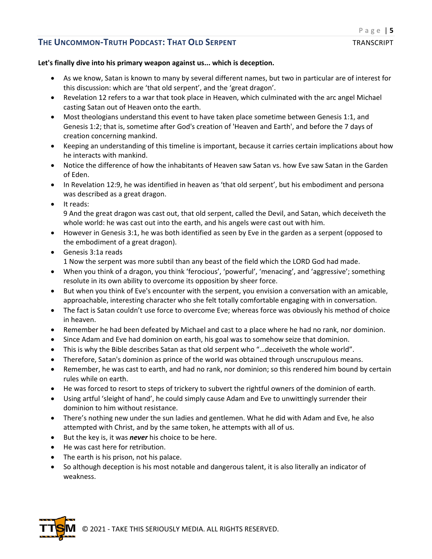## **Let's finally dive into his primary weapon against us... which is deception.**

- As we know, Satan is known to many by several different names, but two in particular are of interest for this discussion: which are 'that old serpent', and the 'great dragon'.
- Revelation 12 refers to a war that took place in Heaven, which culminated with the arc angel Michael casting Satan out of Heaven onto the earth.
- Most theologians understand this event to have taken place sometime between Genesis 1:1, and Genesis 1:2; that is, sometime after God's creation of 'Heaven and Earth', and before the 7 days of creation concerning mankind.
- Keeping an understanding of this timeline is important, because it carries certain implications about how he interacts with mankind.
- Notice the difference of how the inhabitants of Heaven saw Satan vs. how Eve saw Satan in the Garden of Eden.
- In Revelation 12:9, he was identified in heaven as 'that old serpent', but his embodiment and persona was described as a great dragon.
- It reads:

9 And the great dragon was cast out, that old serpent, called the Devil, and Satan, which deceiveth the whole world: he was cast out into the earth, and his angels were cast out with him.

- However in Genesis 3:1, he was both identified as seen by Eve in the garden as a serpent (opposed to the embodiment of a great dragon).
- Genesis 3:1a reads 1 Now the serpent was more subtil than any beast of the field which the LORD God had made.
- When you think of a dragon, you think 'ferocious', 'powerful', 'menacing', and 'aggressive'; something resolute in its own ability to overcome its opposition by sheer force.
- But when you think of Eve's encounter with the serpent, you envision a conversation with an amicable, approachable, interesting character who she felt totally comfortable engaging with in conversation.
- The fact is Satan couldn't use force to overcome Eve; whereas force was obviously his method of choice in heaven.
- Remember he had been defeated by Michael and cast to a place where he had no rank, nor dominion.
- Since Adam and Eve had dominion on earth, his goal was to somehow seize that dominion.
- This is why the Bible describes Satan as that old serpent who "…deceiveth the whole world".
- Therefore, Satan's dominion as prince of the world was obtained through unscrupulous means.
- Remember, he was cast to earth, and had no rank, nor dominion; so this rendered him bound by certain rules while on earth.
- He was forced to resort to steps of trickery to subvert the rightful owners of the dominion of earth.
- Using artful 'sleight of hand', he could simply cause Adam and Eve to unwittingly surrender their dominion to him without resistance.
- There's nothing new under the sun ladies and gentlemen. What he did with Adam and Eve, he also attempted with Christ, and by the same token, he attempts with all of us.
- But the key is, it was *never* his choice to be here.
- He was cast here for retribution.
- The earth is his prison, not his palace.
- So although deception is his most notable and dangerous talent, it is also literally an indicator of weakness.